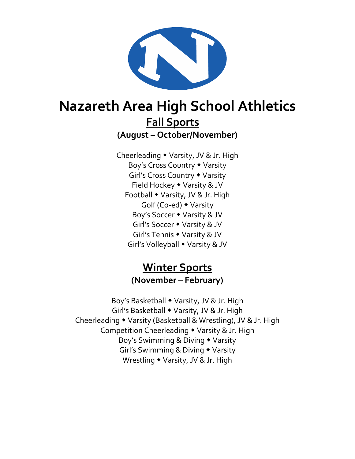

# **Nazareth Area High School Athletics Fall Sports**

**(August – October/November)**

Cheerleading • Varsity, JV & Jr. High Boy's Cross Country Varsity Girl's Cross Country • Varsity Field Hockey • Varsity & JV Football • Varsity, JV & Jr. High Golf (Co-ed) Varsity Boy's Soccer Varsity & JV Girl's Soccer Varsity & JV Girl's Tennis Varsity & JV Girl's Volleyball • Varsity & JV

#### **Winter Sports (November – February)**

Boy's Basketball • Varsity, JV & Jr. High Girl's Basketball • Varsity, JV & Jr. High Cheerleading • Varsity (Basketball & Wrestling), JV & Jr. High Competition Cheerleading Varsity & Jr. High Boy's Swimming & Diving • Varsity Girl's Swimming & Diving Varsity Wrestling • Varsity, JV & Jr. High